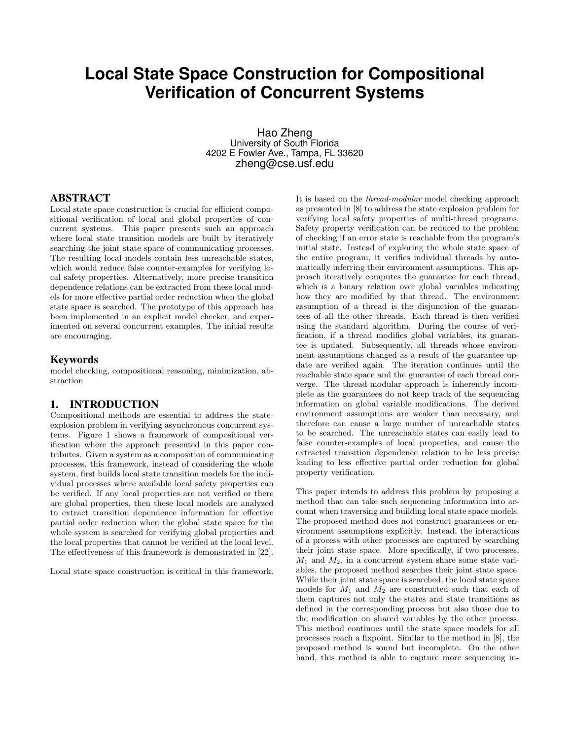# **Local State Space Construction for Compositional Verification of Concurrent Systems**

Hao Zheng University of South Florida 4202 E Fowler Ave., Tampa, FL 33620 zheng@cse.usf.edu

## ABSTRACT

Local state space construction is crucial for efficient compositional verification of local and global properties of concurrent systems. This paper presents such an approach where local state transition models are built by iteratively searching the joint state space of communicating processes. The resulting local models contain less unreachable states, which would reduce false counter-examples for verifying local safety properties. Alternatively, more precise transition dependence relations can be extracted from these local models for more effective partial order reduction when the global state space is searched. The prototype of this approach has been implemented in an explicit model checker, and experimented on several concurrent examples. The initial results are encouraging.

## Keywords

model checking, compositional reasoning, minimization, abstraction

## 1. INTRODUCTION

Compositional methods are essential to address the stateexplosion problem in verifying asynchronous concurrent systems. Figure 1 shows a framework of compositional verification where the approach presented in this paper contributes. Given a system as a composition of communicating processes, this framework, instead of considering the whole system, first builds local state transition models for the individual processes where available local safety properties can be verified. If any local properties are not verified or there are global properties, then these local models are analyzed to extract transition dependence information for effective partial order reduction when the global state space for the whole system is searched for verifying global properties and the local properties that cannot be verified at the local level. The effectiveness of this framework is demonstrated in [22].

Local state space construction is critical in this framework.

It is based on the thread-modular model checking approach as presented in [8] to address the state explosion problem for verifying local safety properties of multi-thread programs. Safety property verification can be reduced to the problem of checking if an error state is reachable from the program's initial state. Instead of exploring the whole state space of the entire program, it verifies individual threads by automatically inferring their environment assumptions. This approach iteratively computes the guarantee for each thread, which is a binary relation over global variables indicating how they are modified by that thread. The environment assumption of a thread is the disjunction of the guarantees of all the other threads. Each thread is then verified using the standard algorithm. During the course of verification, if a thread modifies global variables, its guarantee is updated. Subsequently, all threads whose environment assumptions changed as a result of the guarantee update are verified again. The iteration continues until the reachable state space and the guarantee of each thread converge. The thread-modular approach is inherently incomplete as the guarantees do not keep track of the sequencing information on global variable modifications. The derived environment assumptions are weaker than necessary, and therefore can cause a large number of unreachable states to be searched. The unreachable states can easily lead to false counter-examples of local properties, and cause the extracted transition dependence relation to be less precise leading to less effective partial order reduction for global property verification.

This paper intends to address this problem by proposing a method that can take such sequencing information into account when traversing and building local state space models. The proposed method does not construct guarantees or environment assumptions explicitly. Instead, the interactions of a process with other processes are captured by searching their joint state space. More specifically, if two processes,  $M_1$  and  $M_2$ , in a concurrent system share some state variables, the proposed method searches their joint state space. While their joint state space is searched, the local state space models for  $M_1$  and  $M_2$  are constructed such that each of them captures not only the states and state transitions as defined in the corresponding process but also those due to the modification on shared variables by the other process. This method continues until the state space models for all processes reach a fixpoint. Similar to the method in [8], the proposed method is sound but incomplete. On the other hand, this method is able to capture more sequencing in-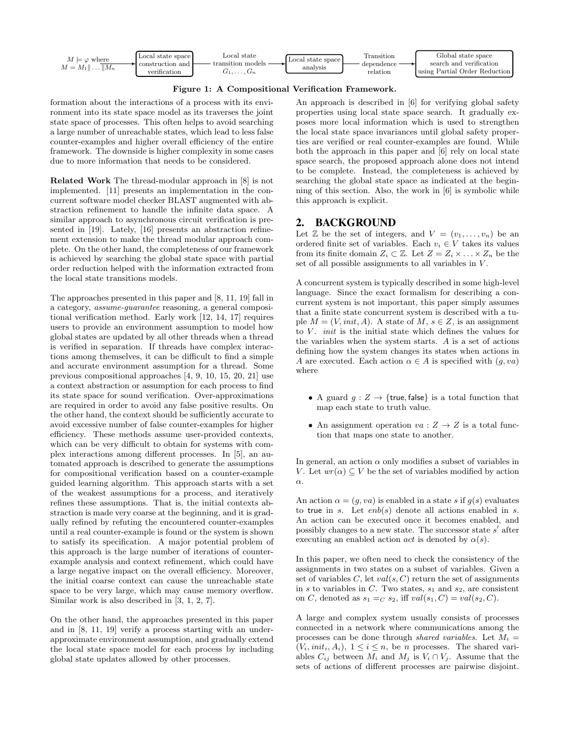

Figure 1: A Compositional Verification Framework.

formation about the interactions of a process with its environment into its state space model as its traverses the joint state space of processes. This often helps to avoid searching a large number of unreachable states, which lead to less false counter-examples and higher overall efficiency of the entire framework. The downside is higher complexity in some cases due to more information that needs to be considered.

Related Work The thread-modular approach in [8] is not implemented. [11] presents an implementation in the concurrent software model checker BLAST augmented with abstraction refinement to handle the infinite data space. A similar approach to asynchronous circuit verification is presented in [19]. Lately, [16] presents an abstraction refinement extension to make the thread modular approach complete. On the other hand, the completeness of our framework is achieved by searching the global state space with partial order reduction helped with the information extracted from the local state transitions models.

The approaches presented in this paper and [8, 11, 19] fall in a category, assume-guarantee reasoning, a general compositional verification method. Early work [12, 14, 17] requires users to provide an environment assumption to model how global states are updated by all other threads when a thread is verified in separation. If threads have complex interactions among themselves, it can be difficult to find a simple and accurate environment assumption for a thread. Some previous compositional approaches [4, 9, 10, 15, 20, 21] use a context abstraction or assumption for each process to find its state space for sound verification. Over-approximations are required in order to avoid any false positive results. On the other hand, the context should be sufficiently accurate to avoid excessive number of false counter-examples for higher efficiency. These methods assume user-provided contexts, which can be very difficult to obtain for systems with complex interactions among different processes. In [5], an automated approach is described to generate the assumptions for compositional verification based on a counter-example guided learning algorithm. This approach starts with a set of the weakest assumptions for a process, and iteratively refines these assumptions. That is, the initial contexts abstraction is made very coarse at the beginning, and it is gradually refined by refuting the encountered counter-examples until a real counter-example is found or the system is shown to satisfy its specification. A major potential problem of this approach is the large number of iterations of counterexample analysis and context refinement, which could have a large negative impact on the overall efficiency. Moreover, the initial coarse context can cause the unreachable state space to be very large, which may cause memory overflow. Similar work is also described in [3, 1, 2, 7].

On the other hand, the approaches presented in this paper and in [8, 11, 19] verify a process starting with an underapproximate environment assumption, and gradually extend the local state space model for each process by including global state updates allowed by other processes.

An approach is described in [6] for verifying global safety properties using local state space search. It gradually exposes more local information which is used to strengthen the local state space invariances until global safety properties are verified or real counter-examples are found. While both the approach in this paper and [6] rely on local state space search, the proposed approach alone does not intend to be complete. Instead, the completeness is achieved by searching the global state space as indicated at the beginning of this section. Also, the work in [6] is symbolic while this approach is explicit.

## 2. BACKGROUND

Let  $\mathbb Z$  be the set of integers, and  $V = (v_1, \ldots, v_n)$  be an ordered finite set of variables. Each  $v_i \in V$  takes its values from its finite domain  $Z_i \subset \mathbb{Z}$ . Let  $Z = Z_i \times \ldots \times Z_n$  be the set of all possible assignments to all variables in  $V$ .

A concurrent system is typically described in some high-level language. Since the exact formalism for describing a concurrent system is not important, this paper simply assumes that a finite state concurrent system is described with a tuple  $M = (V, init, A)$ . A state of M,  $s \in Z$ , is an assignment to  $V$ . *init* is the initial state which defines the values for the variables when the system starts. A is a set of actions defining how the system changes its states when actions in A are executed. Each action  $\alpha \in A$  is specified with  $(q, va)$ where

- A guard  $g: Z \to \{\text{true}, \text{false}\}\$ is a total function that map each state to truth value.
- An assignment operation  $va: Z \to Z$  is a total function that maps one state to another.

In general, an action  $\alpha$  only modifies a subset of variables in V. Let  $wr(\alpha) \subseteq V$  be the set of variables modified by action α.

An action  $\alpha = (g, va)$  is enabled in a state s if  $g(s)$  evaluates to true in s. Let  $enb(s)$  denote all actions enabled in s. An action can be executed once it becomes enabled, and possibly changes to a new state. The successor state  $s'$  after executing an enabled action *act* is denoted by  $\alpha(s)$ .

In this paper, we often need to check the consistency of the assignments in two states on a subset of variables. Given a set of variables  $C$ , let  $val(s, C)$  return the set of assignments in s to variables in C. Two states,  $s_1$  and  $s_2$ , are consistent on C, denoted as  $s_1 =_C s_2$ , iff  $val(s_1, C) = val(s_2, C)$ .

A large and complex system usually consists of processes connected in a network where communications among the processes can be done through shared variables. Let  $M_i =$  $(V_i, init_i, A_i), 1 \leq i \leq n$ , be *n* processes. The shared variables  $C_{ij}$  between  $M_i$  and  $M_j$  is  $V_i \cap V_j$ . Assume that the sets of actions of different processes are pairwise disjoint.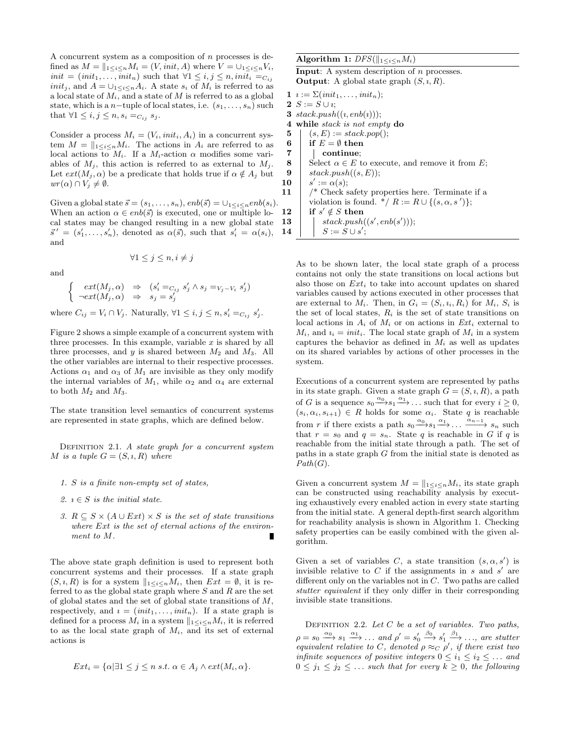A concurrent system as a composition of n processes is defined as  $M = ||_{1 \leq i \leq n} M_i = (V, init, A)$  where  $V = \bigcup_{1 \leq i \leq n} V_i$ ,  $init = (init_1, \ldots, init_n)$  such that  $\forall 1 \leq i, j \leq n, init_i =_{C_{ij}}$ *init<sub>j</sub>*, and  $A = \bigcup_{1 \leq i \leq n} A_i$ . A state  $s_i$  of  $M_i$  is referred to as a local state of  $M_i$ , and a state of M is referred to as a global state, which is a n−tuple of local states, i.e.  $(s_1, \ldots, s_n)$  such that  $\forall 1 \leq i, j \leq n, s_i =_{C_{ij}} s_j$ .

Consider a process  $M_i = (V_i, init_i, A_i)$  in a concurrent system  $M = \|_{1 \le i \le n} M_i$ . The actions in  $A_i$  are referred to as local actions to  $M_i$ . If a  $M_i$ -action  $\alpha$  modifies some variables of  $M_j$ , this action is referred to as external to  $M_j$ . Let  $ext(M_j, \alpha)$  be a predicate that holds true if  $\alpha \notin A_j$  but  $wr(\alpha) \cap V_j \neq \emptyset.$ 

Given a global state  $\vec{s} = (s_1, \ldots, s_n), enb(\vec{s}) = \bigcup_{1 \leq i \leq n} enb(s_i).$ When an action  $\alpha \in enb(\vec{s})$  is executed, one or multiple local states may be changed resulting in a new global state  $\vec{s}' = (s'_1, \ldots, s'_n)$ , denoted as  $\alpha(\vec{s})$ , such that  $s'_i = \alpha(s_i)$ , and

$$
\forall 1 \leq j \leq n, i \neq j
$$

and

$$
\begin{cases}\next(M_j, \alpha) \Rightarrow (s'_i =_{C_{ij}} s'_j \land s_j =_{V_j - V_i} s'_j) \\
\neg ext(M_j, \alpha) \Rightarrow s_j = s'_j\n\end{cases}
$$

where  $C_{ij} = V_i \cap V_j$ . Naturally,  $\forall 1 \leq i, j \leq n, s'_i =_{C_{ij}} s'_j$ .

Figure 2 shows a simple example of a concurrent system with three processes. In this example, variable  $x$  is shared by all three processes, and y is shared between  $M_2$  and  $M_3$ . All the other variables are internal to their respective processes. Actions  $\alpha_1$  and  $\alpha_3$  of  $M_1$  are invisible as they only modify the internal variables of  $M_1$ , while  $\alpha_2$  and  $\alpha_4$  are external to both  $M_2$  and  $M_3$ .

The state transition level semantics of concurrent systems are represented in state graphs, which are defined below.

DEFINITION 2.1. A state graph for a concurrent system M is a tuple  $G = (S, i, R)$  where

- 1. S is a finite non-empty set of states,
- 2.  $i \in S$  is the initial state.
- 3.  $R \subseteq S \times (A \cup Ext) \times S$  is the set of state transitions where Ext is the set of eternal actions of the environment to M.

The above state graph definition is used to represent both concurrent systems and their processes. If a state graph  $(S, i, R)$  is for a system  $||_{1 \leq i \leq n} M_i$ , then  $Ext = \emptyset$ , it is referred to as the global state graph where  $S$  and  $R$  are the set of global states and the set of global state transitions of  $M$ , respectively, and  $i = (init_1, \ldots, init_n)$ . If a state graph is defined for a process  $M_i$  in a system  $||_{1\leq i\leq n}M_i$ , it is referred to as the local state graph of  $M_i$ , and its set of external actions is

$$
Ext_i = \{ \alpha | \exists 1 \le j \le n \text{ s.t. } \alpha \in A_j \land ext(M_i, \alpha \}.
$$

Algorithm 1:  $DFS(\|_{1 \le i \le n} M_i)$ 

**Input:** A system description of  $n$  processes. **Output:** A global state graph  $(S, i, R)$ .

1  $i := \sum (init_1, \ldots, init_n);$ 2  $S := S \cup i$ ; 3  $stack.push((i, emb(i)))$ ; 4 while stack is not empty do 5  $(s, E) := stack.pop();$ 6 if  $E = \emptyset$  then 7 | continue: 8 Select  $\alpha \in E$  to execute, and remove it from E; 9  $stack.push((s, E));$  $10$  $\prime := \alpha(s);$ 11  $\frac{1}{\sqrt{2}}$  Check safety properties here. Terminate if a

violation is found.  $*/ R := R \cup \{(s, \alpha, s')\};$ 

 $\mathbf{12} \quad | \quad \textbf{if} \; s' \notin S \; \textbf{then}$ 13  $|$  stack.push $((s', emb(s')));$ 

$$
\begin{array}{c|c}\n\mathbf{14} & \text{Sident}, \text{pass}(3, \text{cross}) \\
\mathbf{14} & S := S \cup s';\n\end{array}
$$

As to be shown later, the local state graph of a process contains not only the state transitions on local actions but also those on  $Ext_i$  to take into account updates on shared variables caused by actions executed in other processes that are external to  $M_i$ . Then, in  $G_i = (S_i, i_i, R_i)$  for  $M_i, S_i$  is the set of local states,  $R_i$  is the set of state transitions on local actions in  $A_i$  of  $M_i$  or on actions in  $Ext_i$  external to  $M_i$ , and  $i_i = init_i$ . The local state graph of  $M_i$  in a system captures the behavior as defined in  $M_i$  as well as updates on its shared variables by actions of other processes in the system.

Executions of a concurrent system are represented by paths in its state graph. Given a state graph  $G = (S, i, R)$ , a path of G is a sequence  $s_0 \xrightarrow{\alpha_0} s_1 \xrightarrow{\alpha_1} \dots$  such that for every  $i \geq 0$ ,  $(s_i, \alpha_i, s_{i+1}) \in R$  holds for some  $\alpha_i$ . State q is reachable from r if there exists a path  $s_0 \xrightarrow{\alpha_0} s_1 \xrightarrow{\alpha_1} \dots \xrightarrow{\alpha_{n-1}} s_n$  such that  $r = s_0$  and  $q = s_n$ . State q is reachable in G if q is reachable from the initial state through a path. The set of paths in a state graph G from the initial state is denoted as  $Path(G).$ 

Given a concurrent system  $M = ||_{1 \leq i \leq n} M_i$ , its state graph can be constructed using reachability analysis by executing exhaustively every enabled action in every state starting from the initial state. A general depth-first search algorithm for reachability analysis is shown in Algorithm 1. Checking safety properties can be easily combined with the given algorithm.

Given a set of variables C, a state transition  $(s, \alpha, s')$  is invisible relative to  $C$  if the assignments in  $s$  and  $s'$  are different only on the variables not in C. Two paths are called stutter equivalent if they only differ in their corresponding invisible state transitions.

DEFINITION 2.2. Let  $C$  be a set of variables. Two paths,  $\rho = s_0 \stackrel{\alpha_0}{\longrightarrow} s_1 \stackrel{\alpha_1}{\longrightarrow} \ldots$  and  $\rho' = s'_0 \stackrel{\beta_0}{\longrightarrow} s'_1 \stackrel{\beta_1}{\longrightarrow} \ldots$ , are stutter equivalent relative to C, denoted  $\rho \approx_C \rho'$ , if there exist two infinite sequences of positive integers  $0 \leq i_1 \leq i_2 \leq \ldots$  and  $0 \leq j_1 \leq j_2 \leq \ldots$  such that for every  $k \geq 0$ , the following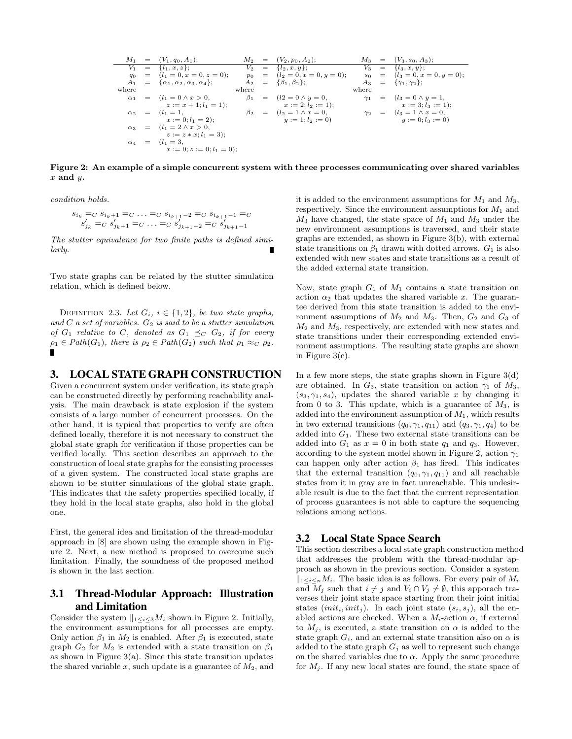$$
M_1 = (V_1, q_0, A_1); \t M_2 = (V_2, p_0, A_2); \t M_3 = (V_3, s_0, A_3);
$$
  
\n
$$
V_1 = \{l_1, x, z\}; \t V_2 = \{l_2, x, y\}; \t W_3 = \{l_3, x, y\};
$$
  
\n
$$
q_0 = (l_1 = 0, x = 0, z = 0); \t p_0 = (l_2 = 0, x = 0, y = 0); \t s_0 = (l_3 = 0, x = 0, y = 0);
$$
  
\n
$$
A_1 = \{ \alpha_1, \alpha_2, \alpha_3, \alpha_4 \}; \t A_2 = \{ \beta_1, \beta_2 \}; \t A_3 = \{ \gamma_1, \gamma_2 \};
$$
  
\nwhere  
\n
$$
\alpha_1 = (l_1 = 0 \land x > 0, \t \beta_1 = (l_2 = 0 \land y = 0, \t \gamma_1 = (l_3 = 0 \land y = 1, \t z := x + 1; l_1 = 1); \t x := 2; l_2 := 1); \t x := 3; l_3 := 1);
$$
  
\n
$$
\alpha_2 = (l_1 = 1, \t x := 0; l_1 = 2); \t \beta_2 = (l_2 = 1 \land x = 0, \t y := 1; l_2 := 0)
$$
  
\n
$$
\alpha_3 = (l_1 = 2 \land x > 0, \t z := x * x; l_1 = 3); \t \alpha_4 = (l_1 = 3, \t z := 0; l_1 = 0); \t x := 0; z := 0; l_1 = 0);
$$

Figure 2: An example of a simple concurrent system with three processes communicating over shared variables  $x$  and  $y$ .

condition holds.

$$
s_{i_k} =_C s_{i_k+1} =_C \ldots =_C s_{i_{k+1}-2} =_C s_{i_{k+1}-1} =_C
$$
  

$$
s'_{j_k} =_C s'_{j_k+1} =_C \ldots =_C s'_{j_{k+1}-2} =_C s'_{j_{k+1}-1}
$$

The stutter equivalence for two finite paths is defined similarly.

Two state graphs can be related by the stutter simulation relation, which is defined below.

DEFINITION 2.3. Let  $G_i$ ,  $i \in \{1,2\}$ , be two state graphs, and  $C$  a set of variables.  $G_2$  is said to be a stutter simulation of  $G_1$  relative to C, denoted as  $G_1 \preceq_C G_2$ , if for every  $\rho_1 \in Path(G_1)$ , there is  $\rho_2 \in Path(G_2)$  such that  $\rho_1 \approx_C \rho_2$ . П

## 3. LOCAL STATE GRAPH CONSTRUCTION

Given a concurrent system under verification, its state graph can be constructed directly by performing reachability analysis. The main drawback is state explosion if the system consists of a large number of concurrent processes. On the other hand, it is typical that properties to verify are often defined locally, therefore it is not necessary to construct the global state graph for verification if those properties can be verified locally. This section describes an approach to the construction of local state graphs for the consisting processes of a given system. The constructed local state graphs are shown to be stutter simulations of the global state graph. This indicates that the safety properties specified locally, if they hold in the local state graphs, also hold in the global one.

First, the general idea and limitation of the thread-modular approach in [8] are shown using the example shown in Figure 2. Next, a new method is proposed to overcome such limitation. Finally, the soundness of the proposed method is shown in the last section.

# 3.1 Thread-Modular Approach: Illustration and Limitation

Consider the system  $||_{1\leq i\leq 3}M_i$  shown in Figure 2. Initially, the environment assumptions for all processes are empty. Only action  $\beta_1$  in  $M_2$  is enabled. After  $\beta_1$  is executed, state graph  $G_2$  for  $M_2$  is extended with a state transition on  $\beta_1$ as shown in Figure  $3(a)$ . Since this state transition updates the shared variable  $x$ , such update is a guarantee of  $M_2$ , and it is added to the environment assumptions for  $M_1$  and  $M_3$ , respectively. Since the environment assumptions for  $M_1$  and  $M_3$  have changed, the state space of  $M_1$  and  $M_3$  under the new environment assumptions is traversed, and their state graphs are extended, as shown in Figure 3(b), with external state transitions on  $\beta_1$  drawn with dotted arrows.  $G_1$  is also extended with new states and state transitions as a result of the added external state transition.

Now, state graph  $G_1$  of  $M_1$  contains a state transition on action  $\alpha_2$  that updates the shared variable x. The guarantee derived from this state transition is added to the environment assumptions of  $M_2$  and  $M_3$ . Then,  $G_2$  and  $G_3$  of  $M_2$  and  $M_3$ , respectively, are extended with new states and state transitions under their corresponding extended environment assumptions. The resulting state graphs are shown in Figure 3(c).

In a few more steps, the state graphs shown in Figure  $3(d)$ are obtained. In  $G_3$ , state transition on action  $\gamma_1$  of  $M_3$ ,  $(s_3, \gamma_1, s_4)$ , updates the shared variable x by changing it from 0 to 3. This update, which is a guarantee of  $M_3$ , is added into the environment assumption of  $M_1$ , which results in two external transitions  $(q_0, \gamma_1, q_{11})$  and  $(q_3, \gamma_1, q_4)$  to be added into  $G_1$ . These two external state transitions can be added into  $G_1$  as  $x = 0$  in both state  $q_1$  and  $q_3$ . However, according to the system model shown in Figure 2, action  $\gamma_1$ can happen only after action  $\beta_1$  has fired. This indicates that the external transition  $(q_0, \gamma_1, q_{11})$  and all reachable states from it in gray are in fact unreachable. This undesirable result is due to the fact that the current representation of process guarantees is not able to capture the sequencing relations among actions.

#### 3.2 Local State Space Search

This section describes a local state graph construction method that addresses the problem with the thread-modular approach as shown in the previous section. Consider a system  $\|1 < i < nM_i$ . The basic idea is as follows. For every pair of  $M_i$ and  $M_j$  such that  $i \neq j$  and  $V_i \cap V_j \neq \emptyset$ , this apporach traverses their joint state space starting from their joint initial states  $(int_i, init_i)$ . In each joint state  $(s_i, s_j)$ , all the enabled actions are checked. When a  $M_i$ -action  $\alpha$ , if external to  $M_i$ , is executed, a state transition on  $\alpha$  is added to the state graph  $G_i$ , and an external state transition also on  $\alpha$  is added to the state graph  $G_j$  as well to represent such change on the shared variables due to  $\alpha$ . Apply the same procedure for  $M_j$ . If any new local states are found, the state space of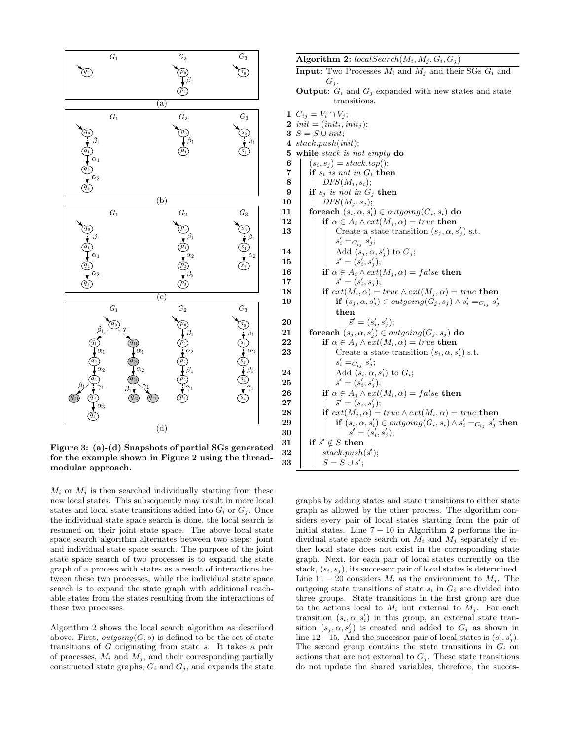

Figure 3: (a)-(d) Snapshots of partial SGs generated for the example shown in Figure 2 using the threadmodular approach.

 $M_i$  or  $M_j$  is then searched individually starting from these new local states. This subsequently may result in more local states and local state transitions added into  $G_i$  or  $G_j$ . Once the individual state space search is done, the local search is resumed on their joint state space. The above local state space search algorithm alternates between two steps: joint and individual state space search. The purpose of the joint state space search of two processes is to expand the state graph of a process with states as a result of interactions between these two processes, while the individual state space search is to expand the state graph with additional reachable states from the states resulting from the interactions of these two processes.

Algorithm 2 shows the local search algorithm as described above. First,  $outgoing(G, s)$  is defined to be the set of state transitions of G originating from state s. It takes a pair of processes,  $M_i$  and  $M_j$ , and their corresponding partially constructed state graphs,  $G_i$  and  $G_j$ , and expands the state

Algorithm 2:  $localSearch(M_i, M_j, G_i, G_j)$ **Input:** Two Processes  $M_i$  and  $M_j$  and their SGs  $G_i$  and

- ${\cal G}_j.$
- transitions.
- **Output:**  $G_i$  and  $G_j$  expanded with new states and state 1  $C_{ij} = V_i \cap V_j;$ 2 init  $=(init_i, init_j);$ 3  $S = S \cup init;$ 4 stack.push(init); 5 while stack is not empty do 6  $(s_i, s_j) = stack.top();$ 7 if  $s_i$  is not in  $G_i$  then  $\bf{8}$  | DFS( $M_i, s_i$ ); 9 if  $s_j$  is not in  $G_j$  then  $\mathbf{10}$  | DFS( $M_j, s_j$ ); 11 foreach  $(s_i, \alpha, s'_i) \in outgoing(G_i, s_i)$  do 12 if  $\alpha \in A_i \wedge ext(M_i, \alpha) = true$  then 13 | | Create a state transition  $(s_j, \alpha, s'_j)$  s.t.  $s_i' =_{C_{ij}} s_j';$  $\begin{array}{|c|c|c|}\hline \textbf{14} & & \textbf{16} \end{array} \begin{array}{|c|c|}\hline \textbf{14} & \textbf{16} \end{array} \begin{array}{|c|c|}\hline \textbf{16} & \textbf{16} \end{array} \begin{array}{|c|c|c|}\hline \textbf{18} & \textbf{18} \end{array} \begin{array}{|c|c|c|}\hline \textbf{18} & \textbf{18} \end{array} \begin{array}{|c|c|c|c|}\hline \textbf{19} & \textbf{18} \end{array} \begin{array}{|c|c|c$  $\begin{array}{|c|c|c|}\n\hline\n\textbf{15} & \textbf{3}^{\prime}=(s_i^{\prime},s_j^{\prime});\n\hline \end{array}$ 16 if  $\alpha \in A_i \wedge ext(M_j, \alpha) = false$  then  $\begin{array}{|c|c|c|}\n\hline\n\textbf{17} & & \quad \mid & \quad \vec{s}' = (s'_i, s_j); \end{array}$ 18 if  $ext(M_i, \alpha) = true \wedge ext(M_j, \alpha) = true$  then  $\begin{array}{|c|c|c|} \hline \textbf{19} & & \textbf{if}\,\, (s_j ,\alpha ,s'_j )\in outgoing (G_j ,s_j )\wedge s'_i =_{C_{ij}}s'_j \hline \end{array}$ then  $20$   $\begin{array}{|c|c|c|c|} \hline \quad & \quad & \quad \end{array} \qquad \begin{array}{|c|c|c|} \hline \quad & \quad & \quad \end{array} \qquad \qquad \vec{s}' = (s'_i, s'_j);$  $\begin{array}{rcl} \textbf{21} & & \textbf{for each}\ (s_j , \alpha , s'_j) \in outgoing (G_j , s_j) \textbf{ do} \end{array}$ 22 if  $\alpha \in A_j \wedge ext(M_i, \alpha) = true$  then **23** Create a state transition  $(s_i, \alpha, s'_i)$  s.t.  $s_i' =_{C_{ij}} s_j';$  $\begin{array}{|c|c|c|}\n\hline\n24 & \multicolumn{1}{|c|}{\text{Add }(s_i,\alpha,s'_i)$ to $G_i$;} \\\hline \end{array}$  $\begin{array}{|c|c|c|}\n\hline\n\textbf{25} & & \bar{s}^{\prime}=(s^{\prime}_i,s^{\prime}_j); \end{array}$ **26** if  $\alpha \in A_j \wedge ext(M_i, \alpha) = false$  then  $\begin{array}{|c|c|c|}\hline \textbf{27} & & \end{array} \begin{array}{|c|c|c|}\hline \rule{0pt}{16pt} & \multicolumn{1}{8} \tilde{s}^{\prime} = (s_i, s_j^{\prime}); \end{array}$ **28** if  $ext(M_i, \alpha) = true \wedge ext(M_i, \alpha) = true$  then  $\begin{array}{|c|c|c|c|}\hline \textbf{29} & & \textbf{if}\,\, (s_i, \alpha, s_i') \in outgoing(G_i, s_i) \wedge s_i' =_{C_{ij}} s_j' \textbf{ then} \hline \end{array}$  $\begin{array}{|c|c|c|c|}\n\hline\n\textbf{30} & & \textbf{30} & \textbf{5}^{\prime} & \textbf{5}^{\prime} & \textbf{5}^{\prime} \textbf{5}^{\prime} & \textbf{5}^{\prime} \textbf{5}^{\prime} & \textbf{5}^{\prime} \textbf{5}^{\prime} & \textbf{5}^{\prime} \textbf{5}^{\prime} & \textbf{5}^{\prime} \textbf{5}^{\prime} & \textbf{5}^{\prime} \textbf{5}^{\prime} & \textbf{5}^{\prime} \textbf{5}^{\prime} & \textbf{5}^{\prime} \textbf{$ 31 if  $\vec{s}' \notin S$  then 32  $|$  stack.push(s'); 33  $S = S \cup \vec{s}'$ ;

graphs by adding states and state transitions to either state graph as allowed by the other process. The algorithm considers every pair of local states starting from the pair of initial states. Line  $7 - 10$  in Algorithm 2 performs the individual state space search on  $M_i$  and  $M_j$  separately if either local state does not exist in the corresponding state graph. Next, for each pair of local states currently on the stack,  $(s_i, s_j)$ , its successor pair of local states is determined. Line  $11 - 20$  considers  $M_i$  as the environment to  $M_i$ . The outgoing state transitions of state  $s_i$  in  $G_i$  are divided into three groups. State transitions in the first group are due to the actions local to  $M_i$  but external to  $M_i$ . For each transition  $(s_i, \alpha, s'_i)$  in this group, an external state transition  $(s_j, \alpha, s'_j)$  is created and added to  $G_j$  as shown in line 12−15. And the successor pair of local states is  $(s'_i, s'_j)$ . The second group contains the state transitions in  $G_i$  on actions that are not external to  $G_j$ . These state transitions do not update the shared variables, therefore, the succes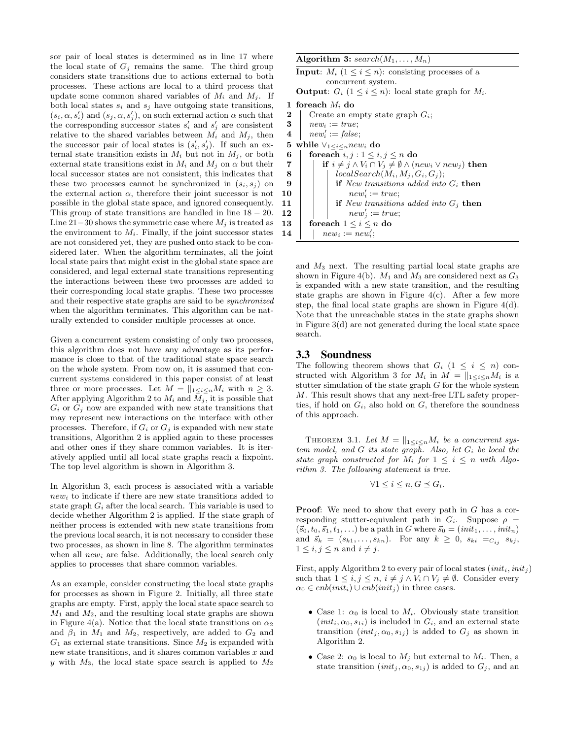sor pair of local states is determined as in line 17 where the local state of  $G_i$  remains the same. The third group considers state transitions due to actions external to both processes. These actions are local to a third process that update some common shared variables of  $M_i$  and  $M_j$ . If both local states  $s_i$  and  $s_j$  have outgoing state transitions,  $(s_i, \alpha, s'_i)$  and  $(s_j, \alpha, s'_j)$ , on such external action  $\alpha$  such that the corresponding successor states  $s_i'$  and  $s_j'$  are consistent relative to the shared variables between  $M_i$  and  $M_j$ , then the successor pair of local states is  $(s'_i, s'_j)$ . If such an external state transition exists in  $M_i$  but not in  $M_j$ , or both external state transitions exist in  $M_i$  and  $M_j$  on  $\alpha$  but their local successor states are not consistent, this indicates that these two processes cannot be synchronized in  $(s_i, s_j)$  on the external action  $\alpha$ , therefore their joint successor is not possible in the global state space, and ignored consequently. This group of state transitions are handled in line  $18 - 20$ . Line 21−30 shows the symmetric case where  $M_i$  is treated as the environment to  $M_i$ . Finally, if the joint successor states are not considered yet, they are pushed onto stack to be considered later. When the algorithm terminates, all the joint local state pairs that might exist in the global state space are considered, and legal external state transitions representing the interactions between these two processes are added to their corresponding local state graphs. These two processes and their respective state graphs are said to be synchronized when the algorithm terminates. This algorithm can be naturally extended to consider multiple processes at once.

Given a concurrent system consisting of only two processes, this algorithm does not have any advantage as its performance is close to that of the traditional state space search on the whole system. From now on, it is assumed that concurrent systems considered in this paper consist of at least three or more processes. Let  $M = ||_{1 \le i \le n} M_i$  with  $n \ge 3$ . After applying Algorithm 2 to  $M_i$  and  $M_j$ , it is possible that  $G_i$  or  $G_j$  now are expanded with new state transitions that may represent new interactions on the interface with other processes. Therefore, if  $G_i$  or  $G_j$  is expanded with new state transitions, Algorithm 2 is applied again to these processes and other ones if they share common variables. It is iteratively applied until all local state graphs reach a fixpoint. The top level algorithm is shown in Algorithm 3.

In Algorithm 3, each process is associated with a variable  $new<sub>i</sub>$  to indicate if there are new state transitions added to state graph  $G_i$  after the local search. This variable is used to decide whether Algorithm 2 is applied. If the state graph of neither process is extended with new state transitions from the previous local search, it is not necessary to consider these two processes, as shown in line 8. The algorithm terminates when all  $new_i$  are false. Additionally, the local search only applies to processes that share common variables.

As an example, consider constructing the local state graphs for processes as shown in Figure 2. Initially, all three state graphs are empty. First, apply the local state space search to  $M_1$  and  $M_2$ , and the resulting local state graphs are shown in Figure 4(a). Notice that the local state transitions on  $\alpha_2$ and  $\beta_1$  in  $M_1$  and  $M_2$ , respectively, are added to  $G_2$  and  $G_1$  as external state transitions. Since  $M_2$  is expanded with new state transitions, and it shares common variables  $x$  and y with  $M_3$ , the local state space search is applied to  $M_2$ 

| Algorithm 3: $search(M_1, , M_n)$ |  |  |  |  |  |
|-----------------------------------|--|--|--|--|--|
|-----------------------------------|--|--|--|--|--|

```
Algorithm 3: search(M_1, \ldots, M_n)Input: M_i (1 \leq i \leq n): consisting processes of a
                concurrent system.
     Output: G_i (1 \leq i \leq n): local state graph for M_i.
  1 foreach M_i do
 2 Create an empty state graph G_i;
 3 | new_i := true;\begin{array}{ll} \textbf{4} & \quad new'_i := \textit{false}; \end{array}5 while \vee_{1 \leq i \leq n} new_i do
 6 foreach i, j : 1 \leq i, j \leq n do
 7 if i \neq j \wedge V_i \cap V_j \neq \emptyset \wedge (new_i \vee new_j) then
 8 | | localSearch(M_i, M_j, G_i, G_j);9 if New transitions added into G_i then
\begin{array}{|c|c|c|c|c|}\n\hline\n10 & & \quad \quad & \mid & \quad \quad & \mid & \quad \quad & new'_i := true;\n\end{array}11 | | if New transitions added into G_j then
\boxed{12} | | new'_j := true;13 for each 1 \leq i \leq n do
\begin{array}{ccc} 14 & | & | & new_i := \mathit{new}_i'; \end{array}
```
and M<sup>3</sup> next. The resulting partial local state graphs are shown in Figure 4(b).  $M_1$  and  $M_3$  are considered next as  $G_3$ is expanded with a new state transition, and the resulting state graphs are shown in Figure  $4(c)$ . After a few more step, the final local state graphs are shown in Figure  $4(d)$ . Note that the unreachable states in the state graphs shown in Figure 3(d) are not generated during the local state space search.

## 3.3 Soundness

The following theorem shows that  $G_i$  (1  $\leq i \leq n$ ) constructed with Algorithm 3 for  $M_i$  in  $M = ||_{1 \le i \le n} M_i$  is a stutter simulation of the state graph  $G$  for the whole system M. This result shows that any next-free LTL safety properties, if hold on  $G_i$ , also hold on  $G$ , therefore the soundness of this approach.

THEOREM 3.1. Let  $M = ||_{1 \leq i \leq n} M_i$  be a concurrent system model, and  $G$  its state graph. Also, let  $G_i$  be local the state graph constructed for  $M_i$  for  $1 \leq i \leq n$  with Algorithm 3. The following statement is true.

$$
\forall 1 \leq i \leq n, G \preceq G_i.
$$

**Proof:** We need to show that every path in G has a corresponding stutter-equivalent path in  $G_i$ . Suppose  $\rho$  =  $({\vec{s}}_0, t_0, {\vec{s}}_1, t_1, \ldots)$  be a path in G where  ${\vec{s}}_0 = (init_1, \ldots, init_n)$ and  $\vec{s}_k = (s_{k1}, \ldots, s_{kn}).$  For any  $k \geq 0$ ,  $s_{ki} =_{C_{ij}} s_{kj}$ ,  $1 \leq i, j \leq n$  and  $i \neq j$ .

First, apply Algorithm 2 to every pair of local states  $(int_i, init_i)$ such that  $1 \leq i, j \leq n, i \neq j \wedge V_i \cap V_j \neq \emptyset$ . Consider every  $\alpha_0 \in enb (init_i) \cup enb (init_j)$  in three cases.

- Case 1:  $\alpha_0$  is local to  $M_i$ . Obviously state transition  $(int_i, \alpha_0, s_{1i})$  is included in  $G_i$ , and an external state transition  $(int_j, \alpha_0, s_{1j})$  is added to  $G_j$  as shown in Algorithm 2.
- Case 2:  $\alpha_0$  is local to  $M_j$  but external to  $M_i$ . Then, a state transition  $(int_j, \alpha_0, s_{1j})$  is added to  $G_j$ , and an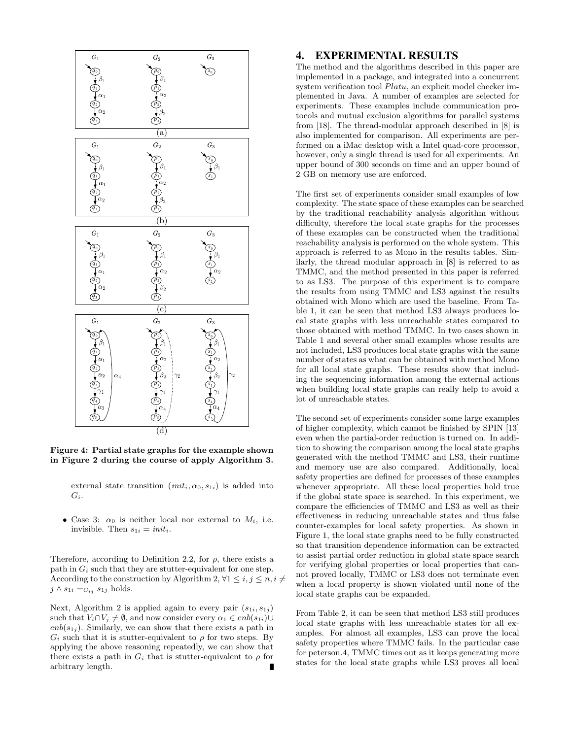

Figure 4: Partial state graphs for the example shown in Figure 2 during the course of apply Algorithm 3.

external state transition  $(int_i, \alpha_0, s_{1i})$  is added into  $G_i$ .

• Case 3:  $\alpha_0$  is neither local nor external to  $M_i$ , i.e. invisible. Then  $s_{1i} = init_i$ .

Therefore, according to Definition 2.2, for  $\rho$ , there exists a path in  $G_i$  such that they are stutter-equivalent for one step. According to the construction by Algorithm 2,  $\forall 1 \leq i, j \leq n, i \neq j$  $j \wedge s_{1i} =_{C_{ij}} s_{1j}$  holds.

Next, Algorithm 2 is applied again to every pair  $(s_{1i}, s_{1j})$ such that  $V_i \cap V_j \neq \emptyset$ , and now consider every  $\alpha_1 \in enb(s_{1i})\cup$  $enb(s_{1i})$ . Similarly, we can show that there exists a path in  $G_i$  such that it is stutter-equivalent to  $\rho$  for two steps. By applying the above reasoning repeatedly, we can show that there exists a path in  $G_i$  that is stutter-equivalent to  $\rho$  for arbitrary length.

### 4. EXPERIMENTAL RESULTS

The method and the algorithms described in this paper are implemented in a package, and integrated into a concurrent system verification tool  $Platu$ , an explicit model checker implemented in Java. A number of examples are selected for experiments. These examples include communication protocols and mutual exclusion algorithms for parallel systems from [18]. The thread-modular approach described in [8] is also implemented for comparison. All experiments are performed on a iMac desktop with a Intel quad-core processor, however, only a single thread is used for all experiments. An upper bound of 300 seconds on time and an upper bound of 2 GB on memory use are enforced.

The first set of experiments consider small examples of low complexity. The state space of these examples can be searched by the traditional reachability analysis algorithm without difficulty, therefore the local state graphs for the processes of these examples can be constructed when the traditional reachability analysis is performed on the whole system. This approach is referred to as Mono in the results tables. Similarly, the thread modular approach in [8] is referred to as TMMC, and the method presented in this paper is referred to as LS3. The purpose of this experiment is to compare the results from using TMMC and LS3 against the results obtained with Mono which are used the baseline. From Table 1, it can be seen that method LS3 always produces local state graphs with less unreachable states compared to those obtained with method TMMC. In two cases shown in Table 1 and several other small examples whose results are not included, LS3 produces local state graphs with the same number of states as what can be obtained with method Mono for all local state graphs. These results show that including the sequencing information among the external actions when building local state graphs can really help to avoid a lot of unreachable states.

The second set of experiments consider some large examples of higher complexity, which cannot be finished by SPIN [13] even when the partial-order reduction is turned on. In addition to showing the comparison among the local state graphs generated with the method TMMC and LS3, their runtime and memory use are also compared. Additionally, local safety properties are defined for processes of these examples whenever appropriate. All these local properties hold true if the global state space is searched. In this experiment, we compare the efficiencies of TMMC and LS3 as well as their effectiveness in reducing unreachable states and thus false counter-examples for local safety properties. As shown in Figure 1, the local state graphs need to be fully constructed so that transition dependence information can be extracted to assist partial order reduction in global state space search for verifying global properties or local properties that cannot proved locally, TMMC or LS3 does not terminate even when a local property is shown violated until none of the local state graphs can be expanded.

From Table 2, it can be seen that method LS3 still produces local state graphs with less unreachable states for all examples. For almost all examples, LS3 can prove the local safety properties where TMMC fails. In the particular case for peterson.4, TMMC times out as it keeps generating more states for the local state graphs while LS3 proves all local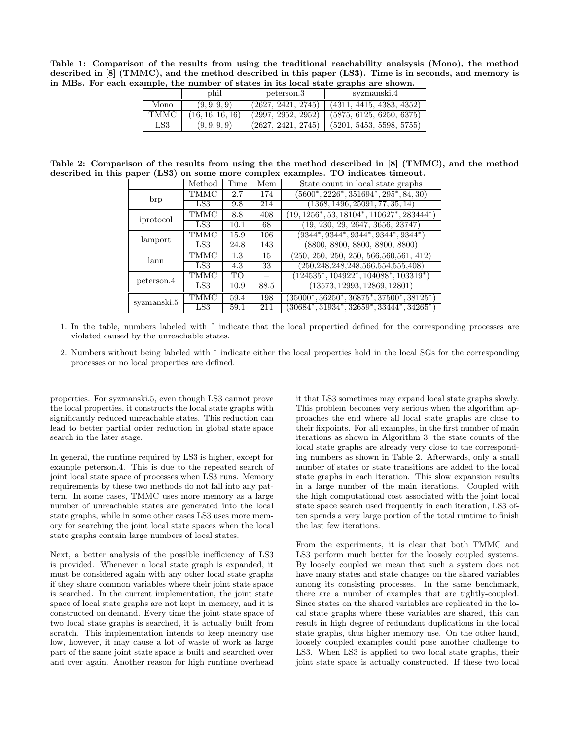Table 1: Comparison of the results from using the traditional reachability analsysis (Mono), the method described in [8] (TMMC), and the method described in this paper (LS3). Time is in seconds, and memory is in MBs. For each example, the number of states in its local state graphs are shown.

|              | phil            | peterson.3         | syzmanski.4              |  |  |
|--------------|-----------------|--------------------|--------------------------|--|--|
| Mono         | (9, 9, 9, 9)    | (2627, 2421, 2745) | (4311, 4415, 4383, 4352) |  |  |
| TMMC         | 16, 16, 16, 16) | (2997, 2952, 2952) | (5875, 6125, 6250, 6375) |  |  |
| $_{\rm LS3}$ | (9, 9, 9, 9)    | (2627, 2421, 2745) | (5201, 5453, 5598, 5755) |  |  |

Table 2: Comparison of the results from using the the method described in [8] (TMMC), and the method described in this paper (LS3) on some more complex examples. TO indicates timeout.

|             | Method      | Time      | Mem  | State count in local state graphs                              |
|-------------|-------------|-----------|------|----------------------------------------------------------------|
| brp         | TMMC        | 2.7       | 174  | $(5600^*, 2226^*, 351694^*, 295^*, 84, 30)$                    |
|             | LS3         | 9.8       | 214  | (1368, 1496, 25091, 77, 35, 14)                                |
| iprotocol   | <b>TMMC</b> | 8.8       | 408  | $(19, 1256^*, 53, 18104^*, 110627^*, 283444^*)$                |
|             | LS3         | 10.1      | 68   | (19, 230, 29, 2647, 3656, 23747)                               |
| lamport     | <b>TMMC</b> | 15.9      | 106  | $(9344^*, 9344^*, 9344^*, 9344^*, 9344^*)$                     |
|             | LS3.        | 24.8      | 143  | (8800, 8800, 8800, 8800, 8800)                                 |
| lann        | <b>TMMC</b> | 1.3       | 15   | $(250, 250, 250, 250, 566, 560, 561, 412)$                     |
|             | LS3         | 4.3       | 33   | $(250, 248, 248, 248, 566, 554, 555, 408)$                     |
| peterson.4  | TMMC        | <b>ТО</b> |      | $(124535^*, 104922^*, 104088^*, 103319^*)$                     |
|             | LS3         | 10.9      | 88.5 | (13573, 12993, 12869, 12801)                                   |
| syzmanski.5 | TMMC        | 59.4      | 198  | $(35000^*, 36250^*, 36875^*, 37500^*, 38125^*)$                |
|             | LS3         | 59.1      | 211  | $(30684^\ast, 31934^\ast, 32659^\ast, 33444^\ast, 34265^\ast)$ |

- 1. In the table, numbers labeled with <sup>∗</sup> indicate that the local propertied defined for the corresponding processes are violated caused by the unreachable states.
- 2. Numbers without being labeled with <sup>∗</sup> indicate either the local properties hold in the local SGs for the corresponding processes or no local properties are defined.

properties. For syzmanski.5, even though LS3 cannot prove the local properties, it constructs the local state graphs with significantly reduced unreachable states. This reduction can lead to better partial order reduction in global state space search in the later stage.

In general, the runtime required by LS3 is higher, except for example peterson.4. This is due to the repeated search of joint local state space of processes when LS3 runs. Memory requirements by these two methods do not fall into any pattern. In some cases, TMMC uses more memory as a large number of unreachable states are generated into the local state graphs, while in some other cases LS3 uses more memory for searching the joint local state spaces when the local state graphs contain large numbers of local states.

Next, a better analysis of the possible inefficiency of LS3 is provided. Whenever a local state graph is expanded, it must be considered again with any other local state graphs if they share common variables where their joint state space is searched. In the current implementation, the joint state space of local state graphs are not kept in memory, and it is constructed on demand. Every time the joint state space of two local state graphs is searched, it is actually built from scratch. This implementation intends to keep memory use low, however, it may cause a lot of waste of work as large part of the same joint state space is built and searched over and over again. Another reason for high runtime overhead

it that LS3 sometimes may expand local state graphs slowly. This problem becomes very serious when the algorithm approaches the end where all local state graphs are close to their fixpoints. For all examples, in the first number of main iterations as shown in Algorithm 3, the state counts of the local state graphs are already very close to the corresponding numbers as shown in Table 2. Afterwards, only a small number of states or state transitions are added to the local state graphs in each iteration. This slow expansion results in a large number of the main iterations. Coupled with the high computational cost associated with the joint local state space search used frequently in each iteration, LS3 often spends a very large portion of the total runtime to finish the last few iterations.

From the experiments, it is clear that both TMMC and LS3 perform much better for the loosely coupled systems. By loosely coupled we mean that such a system does not have many states and state changes on the shared variables among its consisting processes. In the same benchmark, there are a number of examples that are tightly-coupled. Since states on the shared variables are replicated in the local state graphs where these variables are shared, this can result in high degree of redundant duplications in the local state graphs, thus higher memory use. On the other hand, loosely coupled examples could pose another challenge to LS3. When LS3 is applied to two local state graphs, their joint state space is actually constructed. If these two local